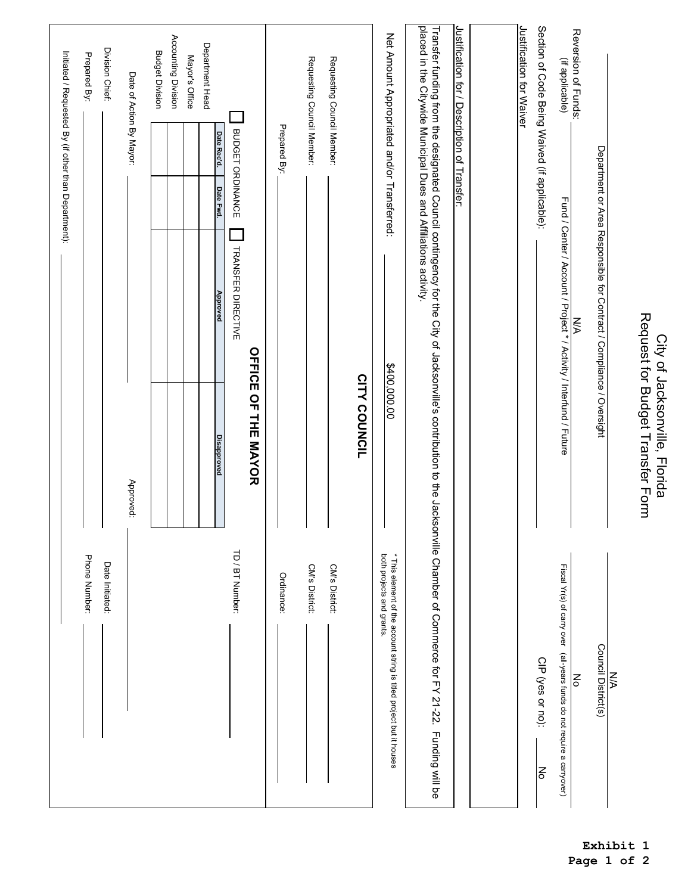| Request for Budget Transfer Form<br>City of Jacksonville, Florida                                                                                                                                                                 | $\leq$                                                                                            |
|-----------------------------------------------------------------------------------------------------------------------------------------------------------------------------------------------------------------------------------|---------------------------------------------------------------------------------------------------|
| Department or Area Responsible for Contract / Compliance / Oversight                                                                                                                                                              | Council District(s)                                                                               |
| Reversion of Funds:<br><b>N/A</b>                                                                                                                                                                                                 | $\mathbf{I}$<br>$\overline{\mathsf{S}}$                                                           |
| (if applicable)<br>Fund / Center / Account / Project * / Activity / Interfund / Future                                                                                                                                            | Fiscal Yr(s) of carry over (all-years funds do not require a carryover)                           |
| Section of Code Being Waived (if applicable):                                                                                                                                                                                     | CIP (yes or no):<br>No                                                                            |
| Justification for Waiver                                                                                                                                                                                                          |                                                                                                   |
|                                                                                                                                                                                                                                   |                                                                                                   |
| Justification for / Description of Transfer:                                                                                                                                                                                      |                                                                                                   |
| Transfer funding from the designated Council contingency for the City of Jacksonville's contribution to the Jacksonville Chamber of Commerce for FY 21-22. Funding will be<br>placed in the Citywide Municipal Dues and Affiliati |                                                                                                   |
| Net Amount Appropriated and/or Transferred:<br>\$400,000.00                                                                                                                                                                       | both projects and grants.<br>* This element of the account string is titled project but it houses |
| <b>CITY COUNCIL</b>                                                                                                                                                                                                               |                                                                                                   |
| Requesting Council Member:                                                                                                                                                                                                        | $\mathbf{I}$<br>CM's District:                                                                    |
| Requesting Council Member:                                                                                                                                                                                                        | CM's District:                                                                                    |
| Prepared By:                                                                                                                                                                                                                      | $\mathbf{I}$<br>Ordinance:                                                                        |
| <b>BUDGET ORDINANCE</b><br><b>TRANSFER DIRECTIVE</b><br><b>OFFICE OF THE MAYOR</b>                                                                                                                                                | TD / BT Number:                                                                                   |
| Date Rec'd.<br>Date Fwd.<br>Approved                                                                                                                                                                                              | <b>Disapproved</b>                                                                                |
| Department Head                                                                                                                                                                                                                   |                                                                                                   |
| Mayor's Office                                                                                                                                                                                                                    |                                                                                                   |
| Accounting Division<br><b>Budget Division</b>                                                                                                                                                                                     |                                                                                                   |
| Date of Action By Mayor:                                                                                                                                                                                                          | Approved:                                                                                         |
| Division Chief:                                                                                                                                                                                                                   | $\mathbf{I}$<br>Date Initiated:                                                                   |
| Prepared By:                                                                                                                                                                                                                      | $\mathbf{I}$<br>Phone Number:                                                                     |
| Initiated / Requested By (if other than Department):                                                                                                                                                                              |                                                                                                   |